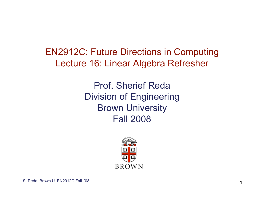EN2912C: Future Directions in Computing Lecture 16: Linear Algebra Refresher

> Prof. Sherief Reda Division of Engineering Brown University Fall 2008

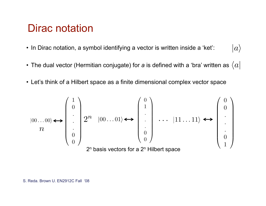# Dirac notation

- In Dirac notation, a symbol identifying a vector is written inside a 'ket':  $|a\rangle$
- The dual vector (Hermitian conjugate) for *a* is defined with a 'bra' written as  $\langle a |$
- Let's think of a Hilbert space as a finite dimensional complex vector space

$$
|00...00\rangle \Longleftrightarrow \begin{pmatrix} 1 \\ 0 \\ \vdots \\ 0 \\ 0 \end{pmatrix} 2^n |00...01\rangle \Longleftrightarrow \begin{pmatrix} 0 \\ 1 \\ \vdots \\ 0 \\ 0 \end{pmatrix} ... |11...11\rangle \Longleftrightarrow \begin{pmatrix} 0 \\ 0 \\ \vdots \\ 0 \\ 1 \end{pmatrix}
$$
  
2<sup>n</sup> basis vectors for a 2<sup>n</sup> Hilbert space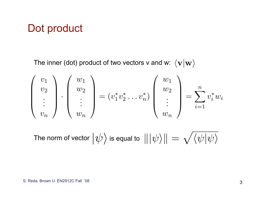## Dot product

The inner (dot) product of two vectors v and w:  $\langle v|w\rangle$ 

$$
\begin{pmatrix} v_1 \\ v_2 \\ \vdots \\ v_n \end{pmatrix} \cdot \begin{pmatrix} w_1 \\ w_2 \\ \vdots \\ w_n \end{pmatrix} = (v_1^* v_2^* \dots v_n^*) \begin{pmatrix} w_1 \\ w_2 \\ \vdots \\ w_n \end{pmatrix} = \sum_{i=1}^n v_i^* w_i
$$

The norm of vector  $\big|\psi\big>$  is equal to  $\,|\hskip-0.04cm|\psi\rangle\hskip-0.04cm|\psi\rangle\hskip-0.04cm|\hspace{0.1cm}=\sqrt{\langle\psi|\psi\rangle\hskip-0.04cm}$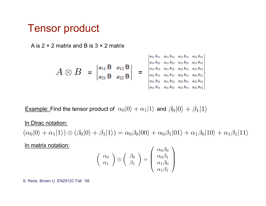### Tensor product

A is  $2 \times 2$  matrix and B is  $3 \times 2$  matrix

$$
A \otimes B = \begin{bmatrix} a_{11} B & a_{12} B \\ a_{21} B & a_{22} B \end{bmatrix} = \begin{bmatrix} a_{11} b_{11} & a_{11} b_{12} & a_{12} b_{11} & a_{12} b_{12} \\ a_{11} b_{21} & a_{11} b_{22} & a_{12} b_{21} & a_{12} b_{22} \\ a_{21} b_{11} & a_{21} b_{12} & a_{22} b_{11} & a_{22} b_{12} \\ a_{21} b_{21} & a_{21} b_{22} & a_{22} b_{21} & a_{22} b_{22} \\ a_{21} b_{31} & a_{21} b_{32} & a_{22} b_{31} & a_{22} b_{32} \end{bmatrix}
$$

<u>Example:</u> Find the tensor product of  $\alpha_0|0\rangle + \alpha_1|1\rangle$  and  $\beta_0|0\rangle + \beta_1|1\rangle$ 

In Dirac notation:

 $(\alpha_0|0\rangle + \alpha_1|1\rangle) \otimes (\beta_0|0\rangle + \beta_1|1\rangle) = \alpha_0\beta_0|00\rangle + \alpha_0\beta_1|01\rangle + \alpha_1\beta_0|10\rangle + \alpha_1\beta_1|11\rangle$ 

In matrix notation:

$$
\left(\begin{array}{c} \alpha_0 \\ \alpha_1 \end{array}\right) \otimes \left(\begin{array}{c} \beta_0 \\ \beta_1 \end{array}\right) = \left(\begin{array}{c} \alpha_0 \beta_0 \\ \alpha_0 \beta_1 \\ \alpha_1 \beta_0 \\ \alpha_1 \beta_1 \end{array}\right)
$$

S. Reda. Brown U. EN2912C Fall '08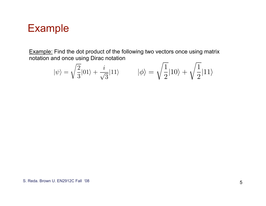# Example

Example: Find the dot product of the following two vectors once using matrix notation and once using Dirac notation

$$
|\psi\rangle=\sqrt{\frac{2}{3}}|01\rangle+\frac{i}{\sqrt{3}}|11\rangle \hspace*{1cm} |\phi\rangle=\sqrt{\frac{1}{2}}|10\rangle+\sqrt{\frac{1}{2}}|11\rangle
$$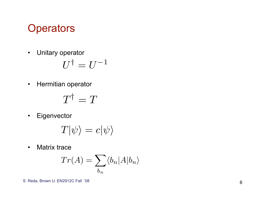# • Unitary operator $U^\dagger = U$ <br>• Hermitian operator<br>• Eigenvector<br>• T $|\psi\rangle =$ <br>• Matrix trace

$$
U^{\dagger} = U^{-1}
$$

$$
T^\dagger = T
$$

$$
T|\psi\rangle = c|\psi\rangle
$$

$$
Tr(A) = \sum_{b_n} \langle b_n | A | b_n \rangle
$$

S. Reda. Brown U. EN2912C Fall '08